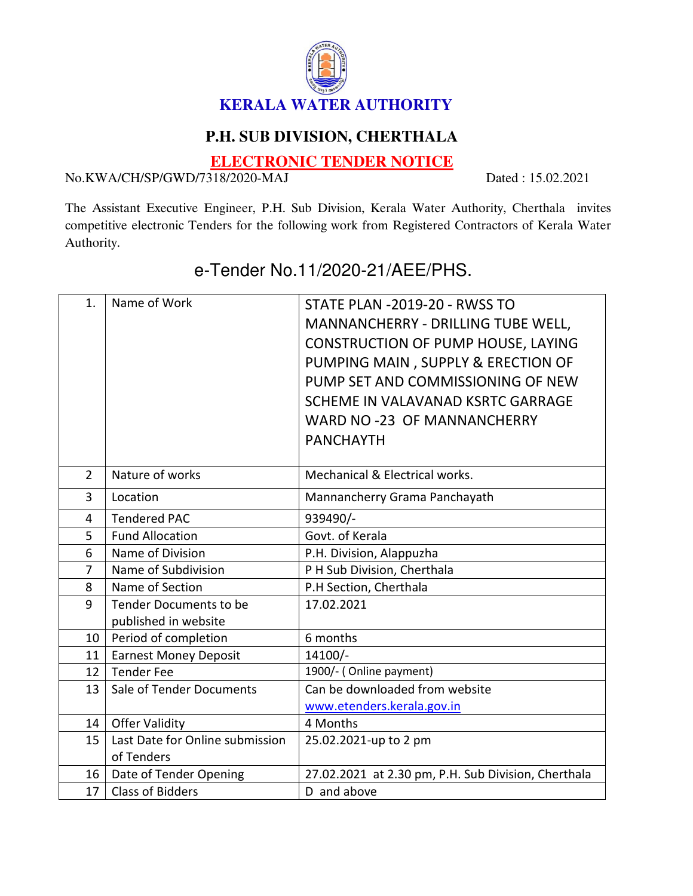

## **P.H. SUB DIVISION, CHERTHALA**

**ELECTRONIC TENDER NOTICE**

No.KWA/CH/SP/GWD/7318/2020-MAJ Dated : 15.02.2021

The Assistant Executive Engineer, P.H. Sub Division, Kerala Water Authority, Cherthala invites competitive electronic Tenders for the following work from Registered Contractors of Kerala Water Authority.

| 1.              | Name of Work                                   | STATE PLAN - 2019-20 - RWSS TO<br>MANNANCHERRY - DRILLING TUBE WELL,<br><b>CONSTRUCTION OF PUMP HOUSE, LAYING</b><br>PUMPING MAIN, SUPPLY & ERECTION OF<br>PUMP SET AND COMMISSIONING OF NEW<br>SCHEME IN VALAVANAD KSRTC GARRAGE<br>WARD NO -23 OF MANNANCHERRY<br><b>PANCHAYTH</b> |
|-----------------|------------------------------------------------|--------------------------------------------------------------------------------------------------------------------------------------------------------------------------------------------------------------------------------------------------------------------------------------|
| $\overline{2}$  | Nature of works                                | Mechanical & Electrical works.                                                                                                                                                                                                                                                       |
| 3               | Location                                       | Mannancherry Grama Panchayath                                                                                                                                                                                                                                                        |
| 4               | <b>Tendered PAC</b>                            | 939490/-                                                                                                                                                                                                                                                                             |
| 5               | <b>Fund Allocation</b>                         | Govt. of Kerala                                                                                                                                                                                                                                                                      |
| 6               | Name of Division                               | P.H. Division, Alappuzha                                                                                                                                                                                                                                                             |
| $\overline{7}$  | Name of Subdivision                            | P H Sub Division, Cherthala                                                                                                                                                                                                                                                          |
| 8               | Name of Section                                | P.H Section, Cherthala                                                                                                                                                                                                                                                               |
| 9               | Tender Documents to be<br>published in website | 17.02.2021                                                                                                                                                                                                                                                                           |
| 10 <sup>1</sup> | Period of completion                           | 6 months                                                                                                                                                                                                                                                                             |
| 11              | <b>Earnest Money Deposit</b>                   | $14100/-$                                                                                                                                                                                                                                                                            |
| 12 <sup>7</sup> | Tender Fee                                     | 1900/- (Online payment)                                                                                                                                                                                                                                                              |
| 13              | Sale of Tender Documents                       | Can be downloaded from website                                                                                                                                                                                                                                                       |
|                 |                                                | www.etenders.kerala.gov.in                                                                                                                                                                                                                                                           |
| 14              | <b>Offer Validity</b>                          | 4 Months                                                                                                                                                                                                                                                                             |
| 15              | Last Date for Online submission<br>of Tenders  | 25.02.2021-up to 2 pm                                                                                                                                                                                                                                                                |
| 16              | Date of Tender Opening                         | 27.02.2021 at 2.30 pm, P.H. Sub Division, Cherthala                                                                                                                                                                                                                                  |
| 17              | <b>Class of Bidders</b>                        | D and above                                                                                                                                                                                                                                                                          |

## e-Tender No.11/2020-21/AEE/PHS.